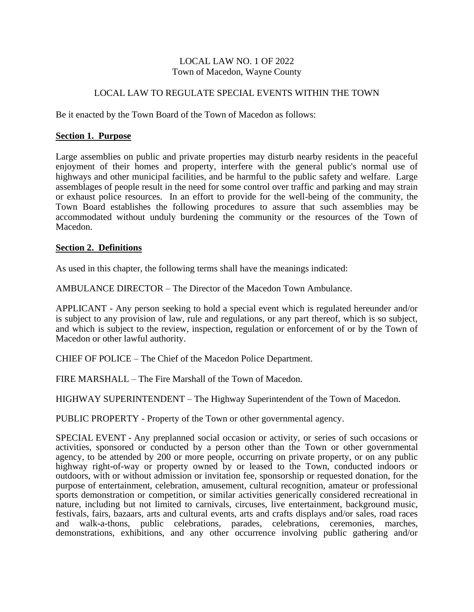## LOCAL LAW NO. 1 OF 2022 Town of Macedon, Wayne County

# LOCAL LAW TO REGULATE SPECIAL EVENTS WITHIN THE TOWN

Be it enacted by the Town Board of the Town of Macedon as follows:

### **Section 1. Purpose**

Large assemblies on public and private properties may disturb nearby residents in the peaceful enjoyment of their homes and property, interfere with the general public's normal use of highways and other municipal facilities, and be harmful to the public safety and welfare. Large assemblages of people result in the need for some control over traffic and parking and may strain or exhaust police resources. In an effort to provide for the well-being of the community, the Town Board establishes the following procedures to assure that such assemblies may be accommodated without unduly burdening the community or the resources of the Town of Macedon.

### **Section 2. Definitions**

As used in this chapter, the following terms shall have the meanings indicated:

AMBULANCE DIRECTOR – The Director of the Macedon Town Ambulance.

APPLICANT - Any person seeking to hold a special event which is regulated hereunder and/or is subject to any provision of law, rule and regulations, or any part thereof, which is so subject, and which is subject to the review, inspection, regulation or enforcement of or by the Town of Macedon or other lawful authority.

CHIEF OF POLICE – The Chief of the Macedon Police Department.

FIRE MARSHALL – The Fire Marshall of the Town of Macedon.

HIGHWAY SUPERINTENDENT – The Highway Superintendent of the Town of Macedon.

PUBLIC PROPERTY - Property of the Town or other governmental agency.

SPECIAL EVENT - Any preplanned social occasion or activity, or series of such occasions or activities, sponsored or conducted by a person other than the Town or other governmental agency, to be attended by 200 or more people, occurring on private property, or on any public highway right-of-way or property owned by or leased to the Town, conducted indoors or outdoors, with or without admission or invitation fee, sponsorship or requested donation, for the purpose of entertainment, celebration, amusement, cultural recognition, amateur or professional sports demonstration or competition, or similar activities generically considered recreational in nature, including but not limited to carnivals, circuses, live entertainment, background music, festivals, fairs, bazaars, arts and cultural events, arts and crafts displays and/or sales, road races and walk-a-thons, public celebrations, parades, celebrations, ceremonies, marches, demonstrations, exhibitions, and any other occurrence involving public gathering and/or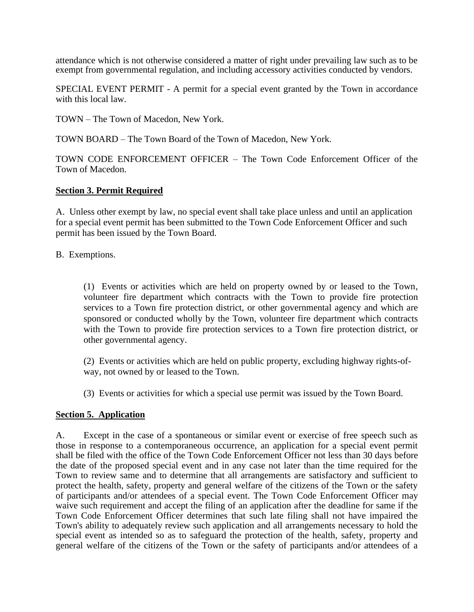attendance which is not otherwise considered a matter of right under prevailing law such as to be exempt from governmental regulation, and including accessory activities conducted by vendors.

SPECIAL EVENT PERMIT - A permit for a special event granted by the Town in accordance with this local law.

TOWN – The Town of Macedon, New York.

TOWN BOARD – The Town Board of the Town of Macedon, New York.

TOWN CODE ENFORCEMENT OFFICER – The Town Code Enforcement Officer of the Town of Macedon.

# **Section 3. Permit Required**

A. Unless other exempt by law, no special event shall take place unless and until an application for a special event permit has been submitted to the Town Code Enforcement Officer and such permit has been issued by the Town Board.

B. Exemptions.

(1) Events or activities which are held on property owned by or leased to the Town, volunteer fire department which contracts with the Town to provide fire protection services to a Town fire protection district, or other governmental agency and which are sponsored or conducted wholly by the Town, volunteer fire department which contracts with the Town to provide fire protection services to a Town fire protection district, or other governmental agency.

(2) Events or activities which are held on public property, excluding highway rights-ofway, not owned by or leased to the Town.

(3) Events or activities for which a special use permit was issued by the Town Board.

## **Section 5. Application**

A. Except in the case of a spontaneous or similar event or exercise of free speech such as those in response to a contemporaneous occurrence, an application for a special event permit shall be filed with the office of the Town Code Enforcement Officer not less than 30 days before the date of the proposed special event and in any case not later than the time required for the Town to review same and to determine that all arrangements are satisfactory and sufficient to protect the health, safety, property and general welfare of the citizens of the Town or the safety of participants and/or attendees of a special event. The Town Code Enforcement Officer may waive such requirement and accept the filing of an application after the deadline for same if the Town Code Enforcement Officer determines that such late filing shall not have impaired the Town's ability to adequately review such application and all arrangements necessary to hold the special event as intended so as to safeguard the protection of the health, safety, property and general welfare of the citizens of the Town or the safety of participants and/or attendees of a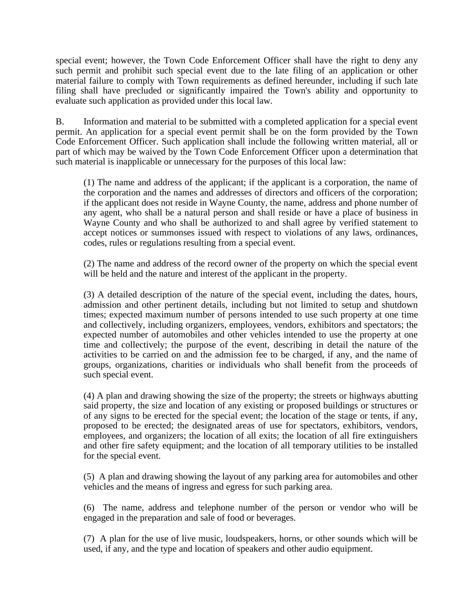special event; however, the Town Code Enforcement Officer shall have the right to deny any such permit and prohibit such special event due to the late filing of an application or other material failure to comply with Town requirements as defined hereunder, including if such late filing shall have precluded or significantly impaired the Town's ability and opportunity to evaluate such application as provided under this local law.

B. Information and material to be submitted with a completed application for a special event permit. An application for a special event permit shall be on the form provided by the Town Code Enforcement Officer. Such application shall include the following written material, all or part of which may be waived by the Town Code Enforcement Officer upon a determination that such material is inapplicable or unnecessary for the purposes of this local law:

(1) The name and address of the applicant; if the applicant is a corporation, the name of the corporation and the names and addresses of directors and officers of the corporation; if the applicant does not reside in Wayne County, the name, address and phone number of any agent, who shall be a natural person and shall reside or have a place of business in Wayne County and who shall be authorized to and shall agree by verified statement to accept notices or summonses issued with respect to violations of any laws, ordinances, codes, rules or regulations resulting from a special event.

(2) The name and address of the record owner of the property on which the special event will be held and the nature and interest of the applicant in the property.

(3) A detailed description of the nature of the special event, including the dates, hours, admission and other pertinent details, including but not limited to setup and shutdown times; expected maximum number of persons intended to use such property at one time and collectively, including organizers, employees, vendors, exhibitors and spectators; the expected number of automobiles and other vehicles intended to use the property at one time and collectively; the purpose of the event, describing in detail the nature of the activities to be carried on and the admission fee to be charged, if any, and the name of groups, organizations, charities or individuals who shall benefit from the proceeds of such special event.

(4) A plan and drawing showing the size of the property; the streets or highways abutting said property, the size and location of any existing or proposed buildings or structures or of any signs to be erected for the special event; the location of the stage or tents, if any, proposed to be erected; the designated areas of use for spectators, exhibitors, vendors, employees, and organizers; the location of all exits; the location of all fire extinguishers and other fire safety equipment; and the location of all temporary utilities to be installed for the special event.

(5) A plan and drawing showing the layout of any parking area for automobiles and other vehicles and the means of ingress and egress for such parking area.

(6) The name, address and telephone number of the person or vendor who will be engaged in the preparation and sale of food or beverages.

(7) A plan for the use of live music, loudspeakers, horns, or other sounds which will be used, if any, and the type and location of speakers and other audio equipment.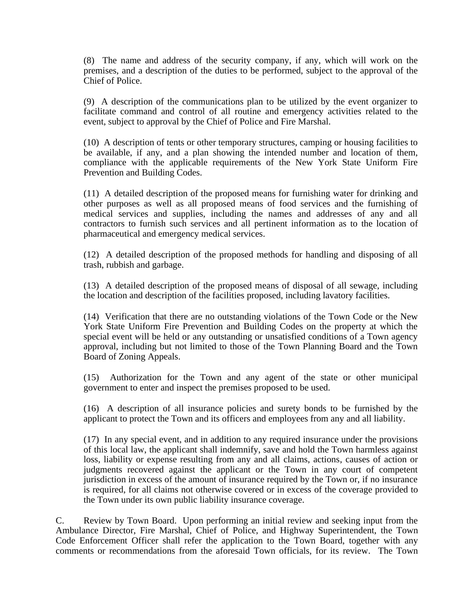(8) The name and address of the security company, if any, which will work on the premises, and a description of the duties to be performed, subject to the approval of the Chief of Police.

(9) A description of the communications plan to be utilized by the event organizer to facilitate command and control of all routine and emergency activities related to the event, subject to approval by the Chief of Police and Fire Marshal.

(10) A description of tents or other temporary structures, camping or housing facilities to be available, if any, and a plan showing the intended number and location of them, compliance with the applicable requirements of the New York State Uniform Fire Prevention and Building Codes.

(11) A detailed description of the proposed means for furnishing water for drinking and other purposes as well as all proposed means of food services and the furnishing of medical services and supplies, including the names and addresses of any and all contractors to furnish such services and all pertinent information as to the location of pharmaceutical and emergency medical services.

(12) A detailed description of the proposed methods for handling and disposing of all trash, rubbish and garbage.

(13) A detailed description of the proposed means of disposal of all sewage, including the location and description of the facilities proposed, including lavatory facilities.

(14) Verification that there are no outstanding violations of the Town Code or the New York State Uniform Fire Prevention and Building Codes on the property at which the special event will be held or any outstanding or unsatisfied conditions of a Town agency approval, including but not limited to those of the Town Planning Board and the Town Board of Zoning Appeals.

(15) Authorization for the Town and any agent of the state or other municipal government to enter and inspect the premises proposed to be used.

(16) A description of all insurance policies and surety bonds to be furnished by the applicant to protect the Town and its officers and employees from any and all liability.

(17) In any special event, and in addition to any required insurance under the provisions of this local law, the applicant shall indemnify, save and hold the Town harmless against loss, liability or expense resulting from any and all claims, actions, causes of action or judgments recovered against the applicant or the Town in any court of competent jurisdiction in excess of the amount of insurance required by the Town or, if no insurance is required, for all claims not otherwise covered or in excess of the coverage provided to the Town under its own public liability insurance coverage.

C. Review by Town Board. Upon performing an initial review and seeking input from the Ambulance Director, Fire Marshal, Chief of Police, and Highway Superintendent, the Town Code Enforcement Officer shall refer the application to the Town Board, together with any comments or recommendations from the aforesaid Town officials, for its review. The Town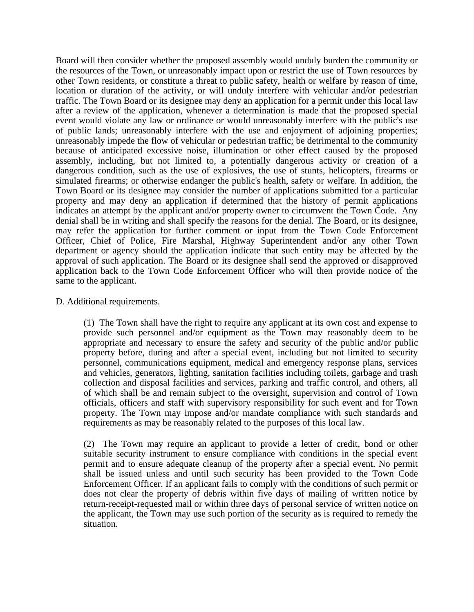Board will then consider whether the proposed assembly would unduly burden the community or the resources of the Town, or unreasonably impact upon or restrict the use of Town resources by other Town residents, or constitute a threat to public safety, health or welfare by reason of time, location or duration of the activity, or will unduly interfere with vehicular and/or pedestrian traffic. The Town Board or its designee may deny an application for a permit under this local law after a review of the application, whenever a determination is made that the proposed special event would violate any law or ordinance or would unreasonably interfere with the public's use of public lands; unreasonably interfere with the use and enjoyment of adjoining properties; unreasonably impede the flow of vehicular or pedestrian traffic; be detrimental to the community because of anticipated excessive noise, illumination or other effect caused by the proposed assembly, including, but not limited to, a potentially dangerous activity or creation of a dangerous condition, such as the use of explosives, the use of stunts, helicopters, firearms or simulated firearms; or otherwise endanger the public's health, safety or welfare. In addition, the Town Board or its designee may consider the number of applications submitted for a particular property and may deny an application if determined that the history of permit applications indicates an attempt by the applicant and/or property owner to circumvent the Town Code. Any denial shall be in writing and shall specify the reasons for the denial. The Board, or its designee, may refer the application for further comment or input from the Town Code Enforcement Officer, Chief of Police, Fire Marshal, Highway Superintendent and/or any other Town department or agency should the application indicate that such entity may be affected by the approval of such application. The Board or its designee shall send the approved or disapproved application back to the Town Code Enforcement Officer who will then provide notice of the same to the applicant.

### D. Additional requirements.

(1) The Town shall have the right to require any applicant at its own cost and expense to provide such personnel and/or equipment as the Town may reasonably deem to be appropriate and necessary to ensure the safety and security of the public and/or public property before, during and after a special event, including but not limited to security personnel, communications equipment, medical and emergency response plans, services and vehicles, generators, lighting, sanitation facilities including toilets, garbage and trash collection and disposal facilities and services, parking and traffic control, and others, all of which shall be and remain subject to the oversight, supervision and control of Town officials, officers and staff with supervisory responsibility for such event and for Town property. The Town may impose and/or mandate compliance with such standards and requirements as may be reasonably related to the purposes of this local law.

(2) The Town may require an applicant to provide a letter of credit, bond or other suitable security instrument to ensure compliance with conditions in the special event permit and to ensure adequate cleanup of the property after a special event. No permit shall be issued unless and until such security has been provided to the Town Code Enforcement Officer. If an applicant fails to comply with the conditions of such permit or does not clear the property of debris within five days of mailing of written notice by return-receipt-requested mail or within three days of personal service of written notice on the applicant, the Town may use such portion of the security as is required to remedy the situation.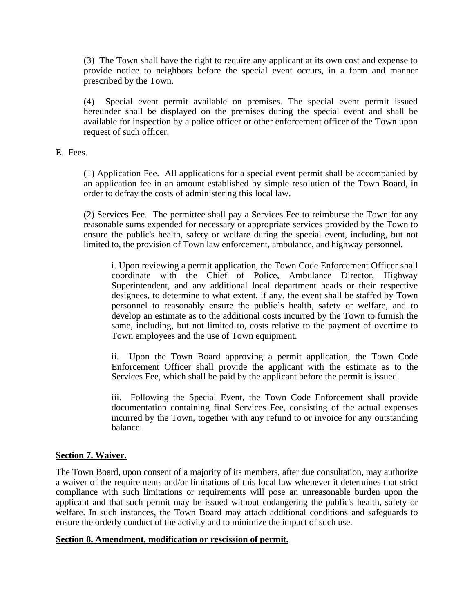(3) The Town shall have the right to require any applicant at its own cost and expense to provide notice to neighbors before the special event occurs, in a form and manner prescribed by the Town.

(4) Special event permit available on premises. The special event permit issued hereunder shall be displayed on the premises during the special event and shall be available for inspection by a police officer or other enforcement officer of the Town upon request of such officer.

### E. Fees.

(1) Application Fee. All applications for a special event permit shall be accompanied by an application fee in an amount established by simple resolution of the Town Board, in order to defray the costs of administering this local law.

(2) Services Fee. The permittee shall pay a Services Fee to reimburse the Town for any reasonable sums expended for necessary or appropriate services provided by the Town to ensure the public's health, safety or welfare during the special event, including, but not limited to, the provision of Town law enforcement, ambulance, and highway personnel.

i. Upon reviewing a permit application, the Town Code Enforcement Officer shall coordinate with the Chief of Police, Ambulance Director, Highway Superintendent, and any additional local department heads or their respective designees, to determine to what extent, if any, the event shall be staffed by Town personnel to reasonably ensure the public's health, safety or welfare, and to develop an estimate as to the additional costs incurred by the Town to furnish the same, including, but not limited to, costs relative to the payment of overtime to Town employees and the use of Town equipment.

ii. Upon the Town Board approving a permit application, the Town Code Enforcement Officer shall provide the applicant with the estimate as to the Services Fee, which shall be paid by the applicant before the permit is issued.

iii. Following the Special Event, the Town Code Enforcement shall provide documentation containing final Services Fee, consisting of the actual expenses incurred by the Town, together with any refund to or invoice for any outstanding balance.

## **Section 7. Waiver.**

The Town Board, upon consent of a majority of its members, after due consultation, may authorize a waiver of the requirements and/or limitations of this local law whenever it determines that strict compliance with such limitations or requirements will pose an unreasonable burden upon the applicant and that such permit may be issued without endangering the public's health, safety or welfare. In such instances, the Town Board may attach additional conditions and safeguards to ensure the orderly conduct of the activity and to minimize the impact of such use.

#### **Section 8. Amendment, modification or rescission of permit.**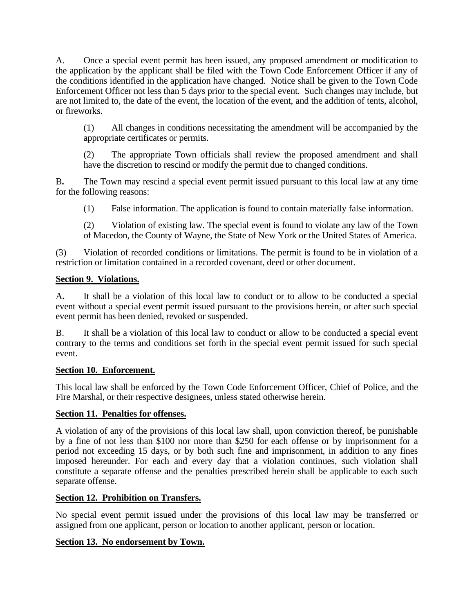A. Once a special event permit has been issued, any proposed amendment or modification to the application by the applicant shall be filed with the Town Code Enforcement Officer if any of the conditions identified in the application have changed. Notice shall be given to the Town Code Enforcement Officer not less than 5 days prior to the special event. Such changes may include, but are not limited to, the date of the event, the location of the event, and the addition of tents, alcohol, or fireworks.

(1) All changes in conditions necessitating the amendment will be accompanied by the appropriate certificates or permits.

(2) The appropriate Town officials shall review the proposed amendment and shall have the discretion to rescind or modify the permit due to changed conditions.

B**.** The Town may rescind a special event permit issued pursuant to this local law at any time for the following reasons:

(1) False information. The application is found to contain materially false information.

(2) Violation of existing law. The special event is found to violate any law of the Town of Macedon, the County of Wayne, the State of New York or the United States of America.

(3) Violation of recorded conditions or limitations. The permit is found to be in violation of a restriction or limitation contained in a recorded covenant, deed or other document.

### **Section 9. Violations.**

A**.** It shall be a violation of this local law to conduct or to allow to be conducted a special event without a special event permit issued pursuant to the provisions herein, or after such special event permit has been denied, revoked or suspended.

B. It shall be a violation of this local law to conduct or allow to be conducted a special event contrary to the terms and conditions set forth in the special event permit issued for such special event.

## **Section 10. Enforcement.**

This local law shall be enforced by the Town Code Enforcement Officer, Chief of Police, and the Fire Marshal, or their respective designees, unless stated otherwise herein.

## **Section 11. Penalties for offenses.**

A violation of any of the provisions of this local law shall, upon conviction thereof, be punishable by a fine of not less than \$100 nor more than \$250 for each offense or by imprisonment for a period not exceeding 15 days, or by both such fine and imprisonment, in addition to any fines imposed hereunder. For each and every day that a violation continues, such violation shall constitute a separate offense and the penalties prescribed herein shall be applicable to each such separate offense.

## **Section 12. Prohibition on Transfers.**

No special event permit issued under the provisions of this local law may be transferred or assigned from one applicant, person or location to another applicant, person or location.

## **Section 13. No endorsement by Town.**